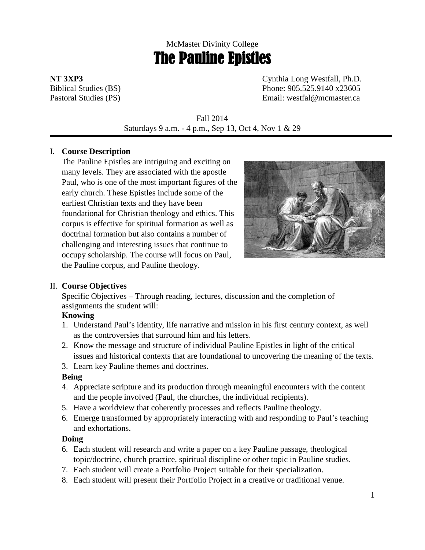# McMaster Divinity College The Pauline Epistles

**NT 3XP3** Cynthia Long Westfall, Ph.D. Biblical Studies (BS) Phone: 905.525.9140 x23605 Pastoral Studies (PS) Email: westfal@mcmaster.ca

> Fall 2014 Saturdays 9 a.m. - 4 p.m., Sep 13, Oct 4, Nov 1 & 29

## I. **Course Description**

The Pauline Epistles are intriguing and exciting on many levels. They are associated with the apostle Paul, who is one of the most important figures of the early church. These Epistles include some of the earliest Christian texts and they have been foundational for Christian theology and ethics. This corpus is effective for spiritual formation as well as doctrinal formation but also contains a number of challenging and interesting issues that continue to occupy scholarship. The course will focus on Paul, the Pauline corpus, and Pauline theology.



# II. **Course Objectives**

Specific Objectives – Through reading, lectures, discussion and the completion of assignments the student will:

## **Knowing**

- 1. Understand Paul's identity, life narrative and mission in his first century context, as well as the controversies that surround him and his letters.
- 2. Know the message and structure of individual Pauline Epistles in light of the critical issues and historical contexts that are foundational to uncovering the meaning of the texts.
- 3. Learn key Pauline themes and doctrines.

# **Being**

- 4. Appreciate scripture and its production through meaningful encounters with the content and the people involved (Paul, the churches, the individual recipients).
- 5. Have a worldview that coherently processes and reflects Pauline theology.
- 6. Emerge transformed by appropriately interacting with and responding to Paul's teaching and exhortations.

# **Doing**

- 6. Each student will research and write a paper on a key Pauline passage, theological topic/doctrine, church practice, spiritual discipline or other topic in Pauline studies.
- 7. Each student will create a Portfolio Project suitable for their specialization.
- 8. Each student will present their Portfolio Project in a creative or traditional venue.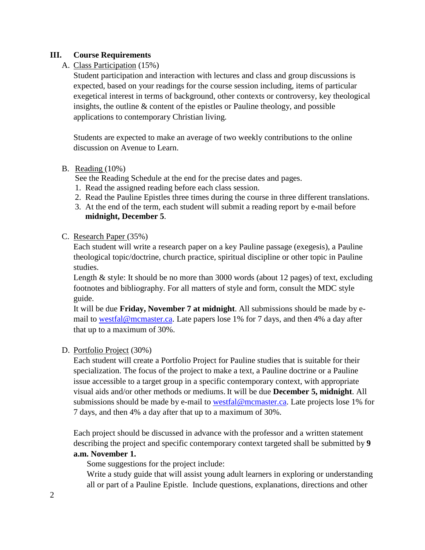## **III. Course Requirements**

## A. Class Participation (15%)

Student participation and interaction with lectures and class and group discussions is expected, based on your readings for the course session including, items of particular exegetical interest in terms of background, other contexts or controversy, key theological insights, the outline & content of the epistles or Pauline theology, and possible applications to contemporary Christian living.

Students are expected to make an average of two weekly contributions to the online discussion on Avenue to Learn.

## B. Reading (10%)

See the Reading Schedule at the end for the precise dates and pages.

- 1. Read the assigned reading before each class session.
- 2. Read the Pauline Epistles three times during the course in three different translations.
- 3. At the end of the term, each student will submit a reading report by e-mail before **midnight, December 5**.

## C. Research Paper (35%)

Each student will write a research paper on a key Pauline passage (exegesis), a Pauline theological topic/doctrine, church practice, spiritual discipline or other topic in Pauline studies.

Length & style: It should be no more than 3000 words (about 12 pages) of text, excluding footnotes and bibliography. For all matters of style and form, consult the MDC style guide.

It will be due **Friday, November 7 at midnight**. All submissions should be made by email to [westfal@mcmaster.ca.](mailto:westfal@mcmaster.ca) Late papers lose 1% for 7 days, and then 4% a day after that up to a maximum of 30%.

## D. Portfolio Project (30%)

Each student will create a Portfolio Project for Pauline studies that is suitable for their specialization. The focus of the project to make a text, a Pauline doctrine or a Pauline issue accessible to a target group in a specific contemporary context, with appropriate visual aids and/or other methods or mediums. It will be due **December 5, midnight**. All submissions should be made by e-mail to [westfal@mcmaster.ca.](mailto:westfal@mcmaster.ca) Late projects lose 1% for 7 days, and then 4% a day after that up to a maximum of 30%.

Each project should be discussed in advance with the professor and a written statement describing the project and specific contemporary context targeted shall be submitted by **9 a.m. November 1.**

Some suggestions for the project include:

Write a study guide that will assist young adult learners in exploring or understanding all or part of a Pauline Epistle. Include questions, explanations, directions and other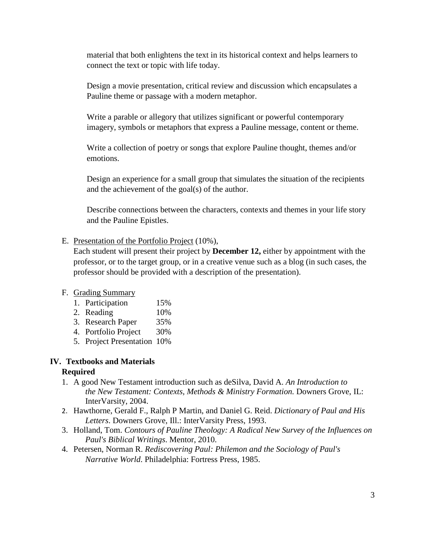material that both enlightens the text in its historical context and helps learners to connect the text or topic with life today.

Design a movie presentation, critical review and discussion which encapsulates a Pauline theme or passage with a modern metaphor.

Write a parable or allegory that utilizes significant or powerful contemporary imagery, symbols or metaphors that express a Pauline message, content or theme.

Write a collection of poetry or songs that explore Pauline thought, themes and/or emotions.

Design an experience for a small group that simulates the situation of the recipients and the achievement of the goal(s) of the author.

Describe connections between the characters, contexts and themes in your life story and the Pauline Epistles.

## E. Presentation of the Portfolio Project (10%),

Each student will present their project by **December 12,** either by appointment with the professor, or to the target group, or in a creative venue such as a blog (in such cases, the professor should be provided with a description of the presentation).

## F. Grading Summary

- 1. Participation 15%
- 2. Reading 10%
- 3. Research Paper 35%
- 4. Portfolio Project 30%
- 5. Project Presentation 10%

## **IV. Textbooks and Materials**

## **Required**

- 1. A good New Testament introduction such as deSilva, David A. *An Introduction to the New Testament: Contexts, Methods & Ministry Formation.* Downers Grove, IL: InterVarsity, 2004.
- 2. Hawthorne, Gerald F., Ralph P Martin, and Daniel G. Reid. *Dictionary of Paul and His Letters*. Downers Grove, Ill.: InterVarsity Press, 1993.
- 3. Holland, Tom. *Contours of Pauline Theology: A Radical New Survey of the Influences on Paul's Biblical Writings*. Mentor, 2010.
- 4. Petersen, Norman R. *Rediscovering Paul: Philemon and the Sociology of Paul's Narrative World*. Philadelphia: Fortress Press, 1985.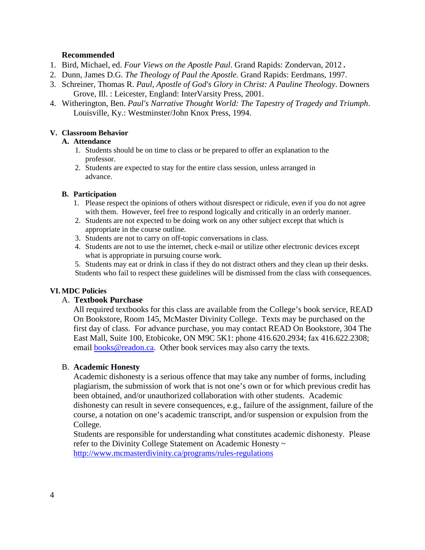## **Recommended**

- 1. Bird, Michael, ed. *Four Views on the Apostle Paul*. Grand Rapids: Zondervan, 2012.
- 2. Dunn, James D.G. *The Theology of Paul the Apostle.* Grand Rapids: Eerdmans, 1997.
- 3. Schreiner, Thomas R. *Paul, Apostle of God's Glory in Christ: A Pauline Theology*. Downers Grove, Ill. : Leicester, England: InterVarsity Press, 2001.
- 4. Witherington, Ben. *Paul's Narrative Thought World: The Tapestry of Tragedy and Triumph*. Louisville, Ky.: Westminster/John Knox Press, 1994.

#### **V. Classroom Behavior**

#### **A. Attendance**

- 1. Students should be on time to class or be prepared to offer an explanation to the professor.
- 2. Students are expected to stay for the entire class session, unless arranged in advance.

#### **B. Participation**

- 1. Please respect the opinions of others without disrespect or ridicule, even if you do not agree with them. However, feel free to respond logically and critically in an orderly manner.
- 2. Students are not expected to be doing work on any other subject except that which is appropriate in the course outline.
- 3. Students are not to carry on off-topic conversations in class.
- 4. Students are not to use the internet, check e-mail or utilize other electronic devices except what is appropriate in pursuing course work.

5. Students may eat or drink in class if they do not distract others and they clean up their desks. Students who fail to respect these guidelines will be dismissed from the class with consequences.

## **VI. MDC Policies**

## A. **Textbook Purchase**

All required textbooks for this class are available from the College's book service, READ On Bookstore, Room 145, McMaster Divinity College. Texts may be purchased on the first day of class. For advance purchase, you may contact READ On Bookstore, 304 The East Mall, Suite 100, Etobicoke, ON M9C 5K1: phone 416.620.2934; fax 416.622.2308; email [books@readon.ca.](mailto:books@readon.ca) Other book services may also carry the texts.

## B. **Academic Honesty**

Academic dishonesty is a serious offence that may take any number of forms, including plagiarism, the submission of work that is not one's own or for which previous credit has been obtained, and/or unauthorized collaboration with other students. Academic dishonesty can result in severe consequences, e.g., failure of the assignment, failure of the course, a notation on one's academic transcript, and/or suspension or expulsion from the College.

Students are responsible for understanding what constitutes academic dishonesty. Please refer to the Divinity College Statement on Academic Honesty ~ <http://www.mcmasterdivinity.ca/programs/rules-regulations>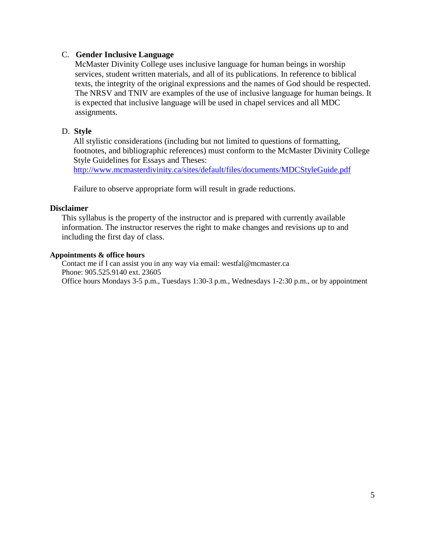## C. **Gender Inclusive Language**

McMaster Divinity College uses inclusive language for human beings in worship services, student written materials, and all of its publications. In reference to biblical texts, the integrity of the original expressions and the names of God should be respected. The NRSV and TNIV are examples of the use of inclusive language for human beings. It is expected that inclusive language will be used in chapel services and all MDC assignments.

## D. **Style**

All stylistic considerations (including but not limited to questions of formatting, footnotes, and bibliographic references) must conform to the McMaster Divinity College Style Guidelines for Essays and Theses:

<http://www.mcmasterdivinity.ca/sites/default/files/documents/MDCStyleGuide.pdf>

Failure to observe appropriate form will result in grade reductions.

#### **Disclaimer**

This syllabus is the property of the instructor and is prepared with currently available information. The instructor reserves the right to make changes and revisions up to and including the first day of class.

#### **Appointments & office hours**

Contact me if I can assist you in any way via email: westfal@mcmaster.ca Phone: 905.525.9140 ext. 23605 Office hours Mondays 3-5 p.m., Tuesdays 1:30-3 p.m., Wednesdays 1-2:30 p.m., or by appointment